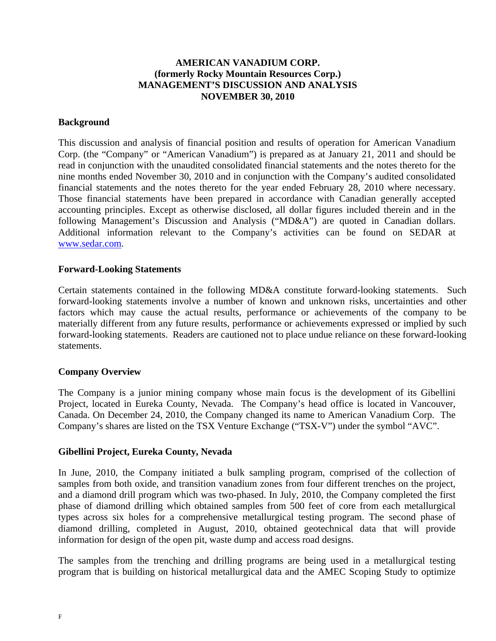# **AMERICAN VANADIUM CORP. (formerly Rocky Mountain Resources Corp.) MANAGEMENT'S DISCUSSION AND ANALYSIS NOVEMBER 30, 2010**

### **Background**

This discussion and analysis of financial position and results of operation for American Vanadium Corp. (the "Company" or "American Vanadium") is prepared as at January 21, 2011 and should be read in conjunction with the unaudited consolidated financial statements and the notes thereto for the nine months ended November 30, 2010 and in conjunction with the Company's audited consolidated financial statements and the notes thereto for the year ended February 28, 2010 where necessary. Those financial statements have been prepared in accordance with Canadian generally accepted accounting principles. Except as otherwise disclosed, all dollar figures included therein and in the following Management's Discussion and Analysis ("MD&A") are quoted in Canadian dollars. Additional information relevant to the Company's activities can be found on SEDAR at www.sedar.com.

#### **Forward-Looking Statements**

Certain statements contained in the following MD&A constitute forward-looking statements. Such forward-looking statements involve a number of known and unknown risks, uncertainties and other factors which may cause the actual results, performance or achievements of the company to be materially different from any future results, performance or achievements expressed or implied by such forward-looking statements. Readers are cautioned not to place undue reliance on these forward-looking statements.

#### **Company Overview**

The Company is a junior mining company whose main focus is the development of its Gibellini Project, located in Eureka County, Nevada. The Company's head office is located in Vancouver, Canada. On December 24, 2010, the Company changed its name to American Vanadium Corp. The Company's shares are listed on the TSX Venture Exchange ("TSX-V") under the symbol "AVC".

#### **Gibellini Project, Eureka County, Nevada**

In June, 2010, the Company initiated a bulk sampling program, comprised of the collection of samples from both oxide, and transition vanadium zones from four different trenches on the project, and a diamond drill program which was two-phased. In July, 2010, the Company completed the first phase of diamond drilling which obtained samples from 500 feet of core from each metallurgical types across six holes for a comprehensive metallurgical testing program. The second phase of diamond drilling, completed in August, 2010, obtained geotechnical data that will provide information for design of the open pit, waste dump and access road designs.

The samples from the trenching and drilling programs are being used in a metallurgical testing program that is building on historical metallurgical data and the AMEC Scoping Study to optimize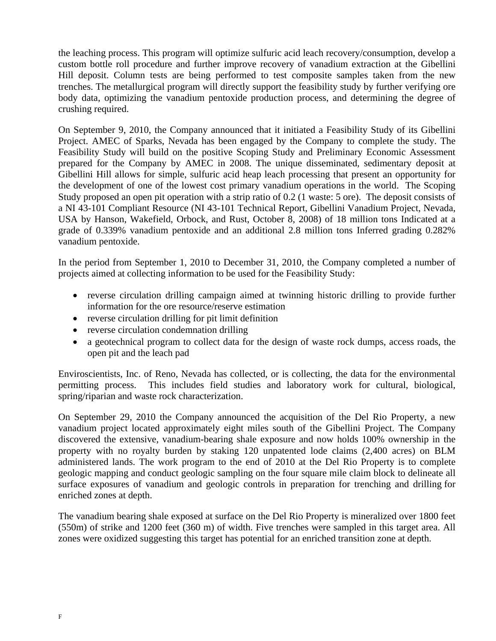the leaching process. This program will optimize sulfuric acid leach recovery/consumption, develop a custom bottle roll procedure and further improve recovery of vanadium extraction at the Gibellini Hill deposit. Column tests are being performed to test composite samples taken from the new trenches. The metallurgical program will directly support the feasibility study by further verifying ore body data, optimizing the vanadium pentoxide production process, and determining the degree of crushing required.

On September 9, 2010, the Company announced that it initiated a Feasibility Study of its Gibellini Project. AMEC of Sparks, Nevada has been engaged by the Company to complete the study. The Feasibility Study will build on the positive Scoping Study and Preliminary Economic Assessment prepared for the Company by AMEC in 2008. The unique disseminated, sedimentary deposit at Gibellini Hill allows for simple, sulfuric acid heap leach processing that present an opportunity for the development of one of the lowest cost primary vanadium operations in the world. The Scoping Study proposed an open pit operation with a strip ratio of 0.2 (1 waste: 5 ore). The deposit consists of a NI 43-101 Compliant Resource (NI 43-101 Technical Report, Gibellini Vanadium Project, Nevada, USA by Hanson, Wakefield, Orbock, and Rust, October 8, 2008) of 18 million tons Indicated at a grade of 0.339% vanadium pentoxide and an additional 2.8 million tons Inferred grading 0.282% vanadium pentoxide.

In the period from September 1, 2010 to December 31, 2010, the Company completed a number of projects aimed at collecting information to be used for the Feasibility Study:

- reverse circulation drilling campaign aimed at twinning historic drilling to provide further information for the ore resource/reserve estimation
- reverse circulation drilling for pit limit definition
- reverse circulation condemnation drilling
- a geotechnical program to collect data for the design of waste rock dumps, access roads, the open pit and the leach pad

Enviroscientists, Inc. of Reno, Nevada has collected, or is collecting, the data for the environmental permitting process. This includes field studies and laboratory work for cultural, biological, spring/riparian and waste rock characterization.

On September 29, 2010 the Company announced the acquisition of the Del Rio Property, a new vanadium project located approximately eight miles south of the Gibellini Project. The Company discovered the extensive, vanadium-bearing shale exposure and now holds 100% ownership in the property with no royalty burden by staking 120 unpatented lode claims (2,400 acres) on BLM administered lands. The work program to the end of 2010 at the Del Rio Property is to complete geologic mapping and conduct geologic sampling on the four square mile claim block to delineate all surface exposures of vanadium and geologic controls in preparation for trenching and drilling for enriched zones at depth.

The vanadium bearing shale exposed at surface on the Del Rio Property is mineralized over 1800 feet (550m) of strike and 1200 feet (360 m) of width. Five trenches were sampled in this target area. All zones were oxidized suggesting this target has potential for an enriched transition zone at depth.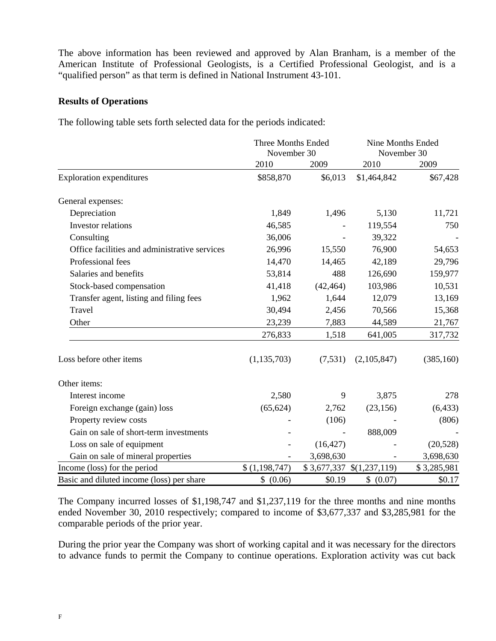The above information has been reviewed and approved by Alan Branham, is a member of the American Institute of Professional Geologists, is a Certified Professional Geologist, and is a "qualified person" as that term is defined in National Instrument 43-101.

#### **Results of Operations**

The following table sets forth selected data for the periods indicated:

|                                               | <b>Three Months Ended</b><br>November 30 |                          | <b>Nine Months Ended</b><br>November 30 |             |  |
|-----------------------------------------------|------------------------------------------|--------------------------|-----------------------------------------|-------------|--|
|                                               | 2010                                     | 2009                     | 2010                                    | 2009        |  |
| <b>Exploration expenditures</b>               | \$858,870                                | \$6,013                  | \$1,464,842                             | \$67,428    |  |
| General expenses:                             |                                          |                          |                                         |             |  |
| Depreciation                                  | 1,849                                    | 1,496                    | 5,130                                   | 11,721      |  |
| Investor relations                            | 46,585                                   |                          | 119,554                                 | 750         |  |
| Consulting                                    | 36,006                                   | $\overline{\phantom{a}}$ | 39,322                                  |             |  |
| Office facilities and administrative services | 26,996                                   | 15,550                   | 76,900                                  | 54,653      |  |
| Professional fees                             | 14,470                                   | 14,465                   | 42,189                                  | 29,796      |  |
| Salaries and benefits                         | 53,814                                   | 488                      | 126,690                                 | 159,977     |  |
| Stock-based compensation                      | 41,418                                   | (42, 464)                | 103,986                                 | 10,531      |  |
| Transfer agent, listing and filing fees       | 1,962                                    | 1,644                    | 12,079                                  | 13,169      |  |
| Travel                                        | 30,494                                   | 2,456                    | 70,566                                  | 15,368      |  |
| Other                                         | 23,239                                   | 7,883                    | 44,589                                  | 21,767      |  |
|                                               | 276,833                                  | 1,518                    | 641,005                                 | 317,732     |  |
| Loss before other items                       | (1, 135, 703)                            | (7, 531)                 | (2,105,847)                             | (385, 160)  |  |
| Other items:                                  |                                          |                          |                                         |             |  |
| Interest income                               | 2,580                                    | 9                        | 3,875                                   | 278         |  |
| Foreign exchange (gain) loss                  | (65, 624)                                | 2,762                    | (23, 156)                               | (6, 433)    |  |
| Property review costs                         |                                          | (106)                    |                                         | (806)       |  |
| Gain on sale of short-term investments        |                                          |                          | 888,009                                 |             |  |
| Loss on sale of equipment                     |                                          | (16, 427)                |                                         | (20, 528)   |  |
| Gain on sale of mineral properties            |                                          | 3,698,630                |                                         | 3,698,630   |  |
| Income (loss) for the period                  | \$(1,198,747)                            |                          | $$3,677,337$ $$(1,237,119)$             | \$3,285,981 |  |
| Basic and diluted income (loss) per share     | \$ (0.06)                                | \$0.19                   | \$ (0.07)                               | \$0.17      |  |

The Company incurred losses of \$1,198,747 and \$1,237,119 for the three months and nine months ended November 30, 2010 respectively; compared to income of \$3,677,337 and \$3,285,981 for the comparable periods of the prior year.

During the prior year the Company was short of working capital and it was necessary for the directors to advance funds to permit the Company to continue operations. Exploration activity was cut back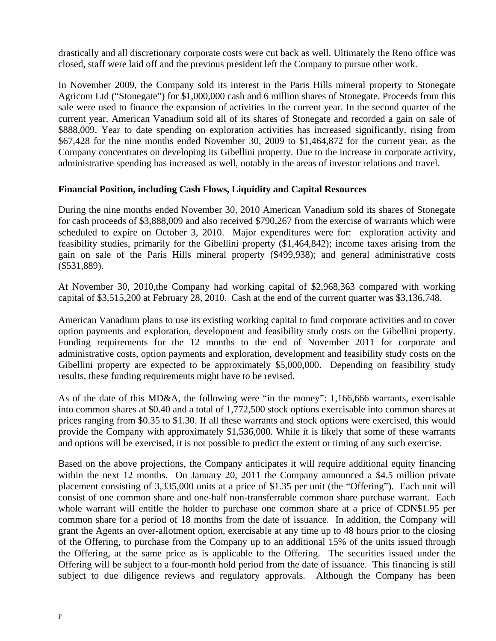drastically and all discretionary corporate costs were cut back as well. Ultimately the Reno office was closed, staff were laid off and the previous president left the Company to pursue other work.

In November 2009, the Company sold its interest in the Paris Hills mineral property to Stonegate Agricom Ltd ("Stonegate") for \$1,000,000 cash and 6 million shares of Stonegate. Proceeds from this sale were used to finance the expansion of activities in the current year. In the second quarter of the current year, American Vanadium sold all of its shares of Stonegate and recorded a gain on sale of \$888,009. Year to date spending on exploration activities has increased significantly, rising from \$67,428 for the nine months ended November 30, 2009 to \$1,464,872 for the current year, as the Company concentrates on developing its Gibellini property. Due to the increase in corporate activity, administrative spending has increased as well, notably in the areas of investor relations and travel.

# **Financial Position, including Cash Flows, Liquidity and Capital Resources**

During the nine months ended November 30, 2010 American Vanadium sold its shares of Stonegate for cash proceeds of \$3,888,009 and also received \$790,267 from the exercise of warrants which were scheduled to expire on October 3, 2010. Major expenditures were for: exploration activity and feasibility studies, primarily for the Gibellini property (\$1,464,842); income taxes arising from the gain on sale of the Paris Hills mineral property (\$499,938); and general administrative costs (\$531,889).

At November 30, 2010,the Company had working capital of \$2,968,363 compared with working capital of \$3,515,200 at February 28, 2010. Cash at the end of the current quarter was \$3,136,748.

American Vanadium plans to use its existing working capital to fund corporate activities and to cover option payments and exploration, development and feasibility study costs on the Gibellini property. Funding requirements for the 12 months to the end of November 2011 for corporate and administrative costs, option payments and exploration, development and feasibility study costs on the Gibellini property are expected to be approximately \$5,000,000. Depending on feasibility study results, these funding requirements might have to be revised.

As of the date of this MD&A, the following were "in the money": 1,166,666 warrants, exercisable into common shares at \$0.40 and a total of 1,772,500 stock options exercisable into common shares at prices ranging from \$0.35 to \$1.30. If all these warrants and stock options were exercised, this would provide the Company with approximately \$1,536,000. While it is likely that some of these warrants and options will be exercised, it is not possible to predict the extent or timing of any such exercise.

Based on the above projections, the Company anticipates it will require additional equity financing within the next 12 months. On January 20, 2011 the Company announced a \$4.5 million private placement consisting of 3,335,000 units at a price of \$1.35 per unit (the "Offering"). Each unit will consist of one common share and one-half non-transferrable common share purchase warrant. Each whole warrant will entitle the holder to purchase one common share at a price of CDN\$1.95 per common share for a period of 18 months from the date of issuance. In addition, the Company will grant the Agents an over-allotment option, exercisable at any time up to 48 hours prior to the closing of the Offering, to purchase from the Company up to an additional 15% of the units issued through the Offering, at the same price as is applicable to the Offering. The securities issued under the Offering will be subject to a four-month hold period from the date of issuance. This financing is still subject to due diligence reviews and regulatory approvals. Although the Company has been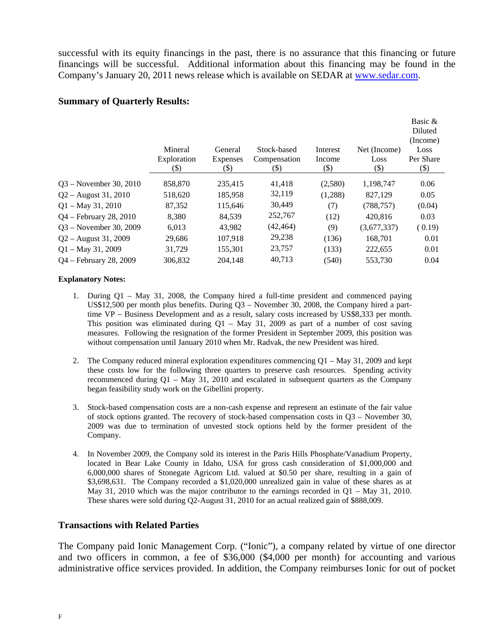successful with its equity financings in the past, there is no assurance that this financing or future financings will be successful. Additional information about this financing may be found in the Company's January 20, 2011 news release which is available on SEDAR at www.sedar.com.

#### **Summary of Quarterly Results:**

|                          |                                  |                                      |                                       |                            |                                | Basic &<br>Diluted<br>(Income) |
|--------------------------|----------------------------------|--------------------------------------|---------------------------------------|----------------------------|--------------------------------|--------------------------------|
|                          | Mineral<br>Exploration<br>$(\$)$ | General<br><b>Expenses</b><br>$(\$)$ | Stock-based<br>Compensation<br>$(\$)$ | Interest<br>Income<br>(\$) | Net (Income)<br>Loss<br>$(\$)$ | Loss<br>Per Share<br>$(\$)$    |
| $Q3 - November 30, 2010$ | 858,870                          | 235,415                              | 41,418                                | (2,580)                    | 1,198,747                      | 0.06                           |
| $Q2 -$ August 31, 2010   | 518,620                          | 185,958                              | 32,119                                | (1,288)                    | 827,129                        | 0.05                           |
| $Q1 - May 31, 2010$      | 87.352                           | 115.646                              | 30,449                                | (7)                        | (788, 757)                     | (0.04)                         |
| Q4 - February 28, 2010   | 8,380                            | 84,539                               | 252,767                               | (12)                       | 420,816                        | 0.03                           |
| Q3 – November 30, 2009   | 6,013                            | 43,982                               | (42, 464)                             | (9)                        | (3,677,337)                    | (0.19)                         |
| $Q2 -$ August 31, 2009   | 29,686                           | 107.918                              | 29,238                                | (136)                      | 168.701                        | 0.01                           |
| $Q1 - May 31, 2009$      | 31,729                           | 155,301                              | 23,757                                | (133)                      | 222,655                        | 0.01                           |
| Q4 – February 28, 2009   | 306,832                          | 204,148                              | 40,713                                | (540)                      | 553,730                        | 0.04                           |
|                          |                                  |                                      |                                       |                            |                                |                                |

#### **Explanatory Notes:**

- 1. During Q1 May 31, 2008, the Company hired a full-time president and commenced paying US\$12,500 per month plus benefits. During Q3 – November 30, 2008, the Company hired a parttime VP – Business Development and as a result, salary costs increased by US\$8,333 per month. This position was eliminated during  $Q1 - May 31$ , 2009 as part of a number of cost saving measures. Following the resignation of the former President in September 2009, this position was without compensation until January 2010 when Mr. Radvak, the new President was hired.
- 2. The Company reduced mineral exploration expenditures commencing  $Q1 May 31$ , 2009 and kept these costs low for the following three quarters to preserve cash resources. Spending activity recommenced during Q1 – May 31, 2010 and escalated in subsequent quarters as the Company began feasibility study work on the Gibellini property.
- 3. Stock-based compensation costs are a non-cash expense and represent an estimate of the fair value of stock options granted. The recovery of stock-based compensation costs in  $Q3$  – November 30, 2009 was due to termination of unvested stock options held by the former president of the Company.
- 4. In November 2009, the Company sold its interest in the Paris Hills Phosphate/Vanadium Property, located in Bear Lake County in Idaho, USA for gross cash consideration of \$1,000,000 and 6,000,000 shares of Stonegate Agricom Ltd. valued at \$0.50 per share, resulting in a gain of \$3,698,631. The Company recorded a \$1,020,000 unrealized gain in value of these shares as at May 31, 2010 which was the major contributor to the earnings recorded in Q1 – May 31, 2010. These shares were sold during Q2-August 31, 2010 for an actual realized gain of \$888,009.

# **Transactions with Related Parties**

The Company paid Ionic Management Corp. ("Ionic"), a company related by virtue of one director and two officers in common, a fee of \$36,000 (\$4,000 per month) for accounting and various administrative office services provided. In addition, the Company reimburses Ionic for out of pocket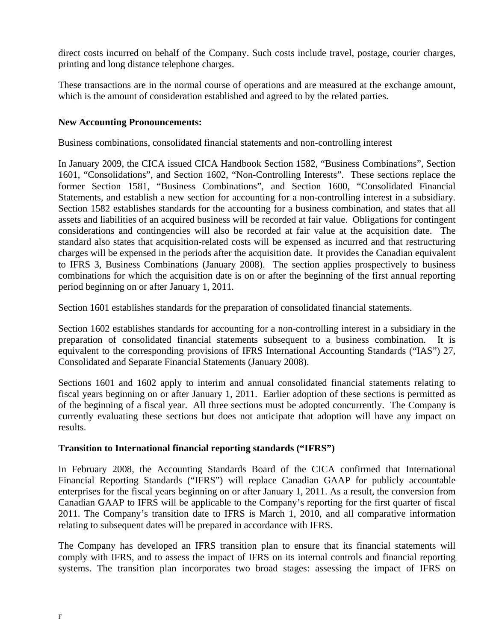direct costs incurred on behalf of the Company. Such costs include travel, postage, courier charges, printing and long distance telephone charges.

These transactions are in the normal course of operations and are measured at the exchange amount, which is the amount of consideration established and agreed to by the related parties.

# **New Accounting Pronouncements:**

Business combinations, consolidated financial statements and non-controlling interest

In January 2009, the CICA issued CICA Handbook Section 1582, "Business Combinations", Section 1601, "Consolidations", and Section 1602, "Non-Controlling Interests". These sections replace the former Section 1581, "Business Combinations", and Section 1600, "Consolidated Financial Statements, and establish a new section for accounting for a non-controlling interest in a subsidiary. Section 1582 establishes standards for the accounting for a business combination, and states that all assets and liabilities of an acquired business will be recorded at fair value. Obligations for contingent considerations and contingencies will also be recorded at fair value at the acquisition date. The standard also states that acquisition-related costs will be expensed as incurred and that restructuring charges will be expensed in the periods after the acquisition date. It provides the Canadian equivalent to IFRS 3, Business Combinations (January 2008). The section applies prospectively to business combinations for which the acquisition date is on or after the beginning of the first annual reporting period beginning on or after January 1, 2011.

Section 1601 establishes standards for the preparation of consolidated financial statements.

Section 1602 establishes standards for accounting for a non-controlling interest in a subsidiary in the preparation of consolidated financial statements subsequent to a business combination. It is equivalent to the corresponding provisions of IFRS International Accounting Standards ("IAS") 27, Consolidated and Separate Financial Statements (January 2008).

Sections 1601 and 1602 apply to interim and annual consolidated financial statements relating to fiscal years beginning on or after January 1, 2011. Earlier adoption of these sections is permitted as of the beginning of a fiscal year. All three sections must be adopted concurrently. The Company is currently evaluating these sections but does not anticipate that adoption will have any impact on results.

# **Transition to International financial reporting standards ("IFRS")**

In February 2008, the Accounting Standards Board of the CICA confirmed that International Financial Reporting Standards ("IFRS") will replace Canadian GAAP for publicly accountable enterprises for the fiscal years beginning on or after January 1, 2011. As a result, the conversion from Canadian GAAP to IFRS will be applicable to the Company's reporting for the first quarter of fiscal 2011. The Company's transition date to IFRS is March 1, 2010, and all comparative information relating to subsequent dates will be prepared in accordance with IFRS.

The Company has developed an IFRS transition plan to ensure that its financial statements will comply with IFRS, and to assess the impact of IFRS on its internal controls and financial reporting systems. The transition plan incorporates two broad stages: assessing the impact of IFRS on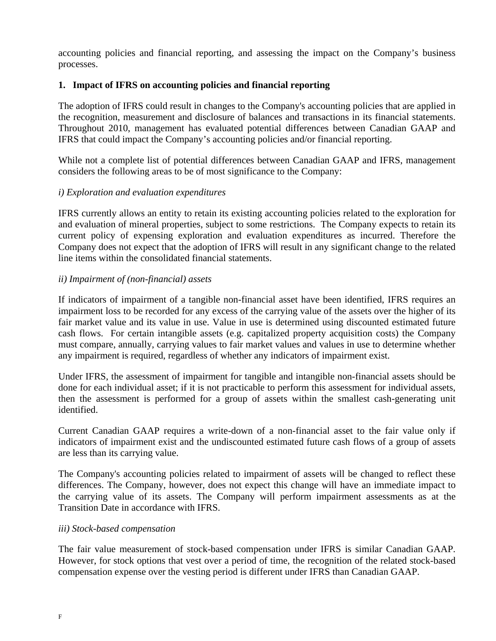accounting policies and financial reporting, and assessing the impact on the Company's business processes.

# **1. Impact of IFRS on accounting policies and financial reporting**

The adoption of IFRS could result in changes to the Company's accounting policies that are applied in the recognition, measurement and disclosure of balances and transactions in its financial statements. Throughout 2010, management has evaluated potential differences between Canadian GAAP and IFRS that could impact the Company's accounting policies and/or financial reporting.

While not a complete list of potential differences between Canadian GAAP and IFRS, management considers the following areas to be of most significance to the Company:

# *i) Exploration and evaluation expenditures*

IFRS currently allows an entity to retain its existing accounting policies related to the exploration for and evaluation of mineral properties, subject to some restrictions. The Company expects to retain its current policy of expensing exploration and evaluation expenditures as incurred. Therefore the Company does not expect that the adoption of IFRS will result in any significant change to the related line items within the consolidated financial statements.

# *ii) Impairment of (non-financial) assets*

If indicators of impairment of a tangible non-financial asset have been identified, IFRS requires an impairment loss to be recorded for any excess of the carrying value of the assets over the higher of its fair market value and its value in use. Value in use is determined using discounted estimated future cash flows. For certain intangible assets (e.g. capitalized property acquisition costs) the Company must compare, annually, carrying values to fair market values and values in use to determine whether any impairment is required, regardless of whether any indicators of impairment exist.

Under IFRS, the assessment of impairment for tangible and intangible non-financial assets should be done for each individual asset; if it is not practicable to perform this assessment for individual assets, then the assessment is performed for a group of assets within the smallest cash-generating unit identified.

Current Canadian GAAP requires a write-down of a non-financial asset to the fair value only if indicators of impairment exist and the undiscounted estimated future cash flows of a group of assets are less than its carrying value.

The Company's accounting policies related to impairment of assets will be changed to reflect these differences. The Company, however, does not expect this change will have an immediate impact to the carrying value of its assets. The Company will perform impairment assessments as at the Transition Date in accordance with IFRS.

# *iii) Stock-based compensation*

The fair value measurement of stock-based compensation under IFRS is similar Canadian GAAP. However, for stock options that vest over a period of time, the recognition of the related stock-based compensation expense over the vesting period is different under IFRS than Canadian GAAP.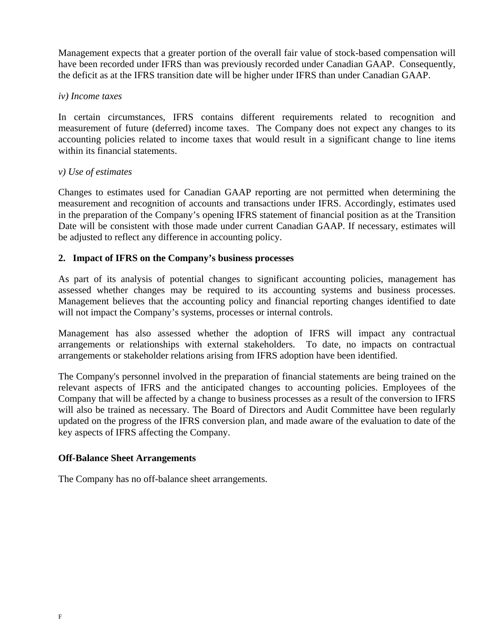Management expects that a greater portion of the overall fair value of stock-based compensation will have been recorded under IFRS than was previously recorded under Canadian GAAP. Consequently, the deficit as at the IFRS transition date will be higher under IFRS than under Canadian GAAP.

# *iv) Income taxes*

In certain circumstances, IFRS contains different requirements related to recognition and measurement of future (deferred) income taxes. The Company does not expect any changes to its accounting policies related to income taxes that would result in a significant change to line items within its financial statements.

# *v) Use of estimates*

Changes to estimates used for Canadian GAAP reporting are not permitted when determining the measurement and recognition of accounts and transactions under IFRS. Accordingly, estimates used in the preparation of the Company's opening IFRS statement of financial position as at the Transition Date will be consistent with those made under current Canadian GAAP. If necessary, estimates will be adjusted to reflect any difference in accounting policy.

# **2. Impact of IFRS on the Company's business processes**

As part of its analysis of potential changes to significant accounting policies, management has assessed whether changes may be required to its accounting systems and business processes. Management believes that the accounting policy and financial reporting changes identified to date will not impact the Company's systems, processes or internal controls.

Management has also assessed whether the adoption of IFRS will impact any contractual arrangements or relationships with external stakeholders. To date, no impacts on contractual arrangements or stakeholder relations arising from IFRS adoption have been identified.

The Company's personnel involved in the preparation of financial statements are being trained on the relevant aspects of IFRS and the anticipated changes to accounting policies. Employees of the Company that will be affected by a change to business processes as a result of the conversion to IFRS will also be trained as necessary. The Board of Directors and Audit Committee have been regularly updated on the progress of the IFRS conversion plan, and made aware of the evaluation to date of the key aspects of IFRS affecting the Company.

# **Off-Balance Sheet Arrangements**

The Company has no off-balance sheet arrangements.